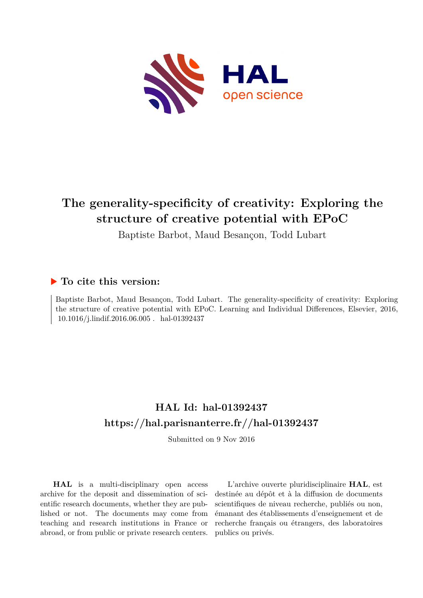

## **The generality-specificity of creativity: Exploring the structure of creative potential with EPoC**

Baptiste Barbot, Maud Besançon, Todd Lubart

## **To cite this version:**

Baptiste Barbot, Maud Besançon, Todd Lubart. The generality-specificity of creativity: Exploring the structure of creative potential with EPoC. Learning and Individual Differences, Elsevier, 2016,  $10.1016/j.lindif.2016.06.005$  .  $\,$  hal-01392437

## **HAL Id: hal-01392437 <https://hal.parisnanterre.fr//hal-01392437>**

Submitted on 9 Nov 2016

**HAL** is a multi-disciplinary open access archive for the deposit and dissemination of scientific research documents, whether they are published or not. The documents may come from teaching and research institutions in France or abroad, or from public or private research centers.

L'archive ouverte pluridisciplinaire **HAL**, est destinée au dépôt et à la diffusion de documents scientifiques de niveau recherche, publiés ou non, émanant des établissements d'enseignement et de recherche français ou étrangers, des laboratoires publics ou privés.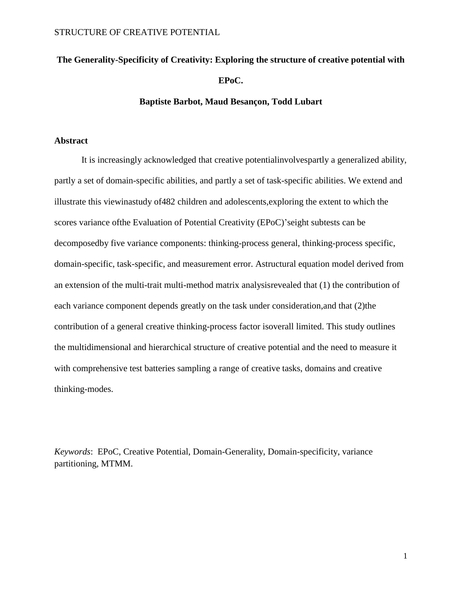# **The Generality-Specificity of Creativity: Exploring the structure of creative potential with EPoC.**

#### **Baptiste Barbot, Maud Besançon, Todd Lubart**

#### **Abstract**

It is increasingly acknowledged that creative potentialinvolvespartly a generalized ability, partly a set of domain-specific abilities, and partly a set of task-specific abilities. We extend and illustrate this viewinastudy of482 children and adolescents,exploring the extent to which the scores variance ofthe Evaluation of Potential Creativity (EPoC)'seight subtests can be decomposedby five variance components: thinking-process general, thinking-process specific, domain-specific, task-specific, and measurement error. Astructural equation model derived from an extension of the multi-trait multi-method matrix analysisrevealed that (1) the contribution of each variance component depends greatly on the task under consideration,and that (2)the contribution of a general creative thinking-process factor isoverall limited. This study outlines the multidimensional and hierarchical structure of creative potential and the need to measure it with comprehensive test batteries sampling a range of creative tasks, domains and creative thinking-modes.

*Keywords*: EPoC, Creative Potential, Domain-Generality, Domain-specificity, variance partitioning, MTMM.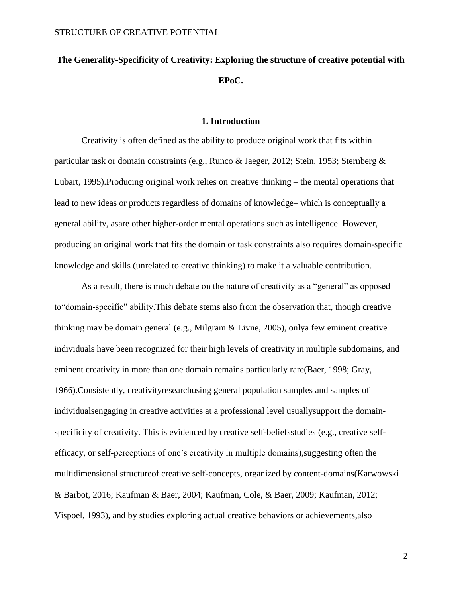## **The Generality-Specificity of Creativity: Exploring the structure of creative potential with EPoC.**

#### **1. Introduction**

Creativity is often defined as the ability to produce original work that fits within particular task or domain constraints (e.g., Runco & Jaeger, 2012; Stein, 1953; Sternberg & Lubart, 1995).Producing original work relies on creative thinking – the mental operations that lead to new ideas or products regardless of domains of knowledge– which is conceptually a general ability, asare other higher-order mental operations such as intelligence. However, producing an original work that fits the domain or task constraints also requires domain-specific knowledge and skills (unrelated to creative thinking) to make it a valuable contribution.

As a result, there is much debate on the nature of creativity as a "general" as opposed to"domain-specific" ability.This debate stems also from the observation that, though creative thinking may be domain general (e.g., Milgram & Livne, 2005), onlya few eminent creative individuals have been recognized for their high levels of creativity in multiple subdomains, and eminent creativity in more than one domain remains particularly rare(Baer, 1998; Gray, 1966).Consistently, creativityresearchusing general population samples and samples of individualsengaging in creative activities at a professional level usuallysupport the domainspecificity of creativity. This is evidenced by creative self-beliefsstudies (e.g., creative selfefficacy, or self-perceptions of one's creativity in multiple domains),suggesting often the multidimensional structureof creative self-concepts, organized by content-domains(Karwowski & Barbot, 2016; Kaufman & Baer, 2004; Kaufman, Cole, & Baer, 2009; Kaufman, 2012; Vispoel, 1993), and by studies exploring actual creative behaviors or achievements,also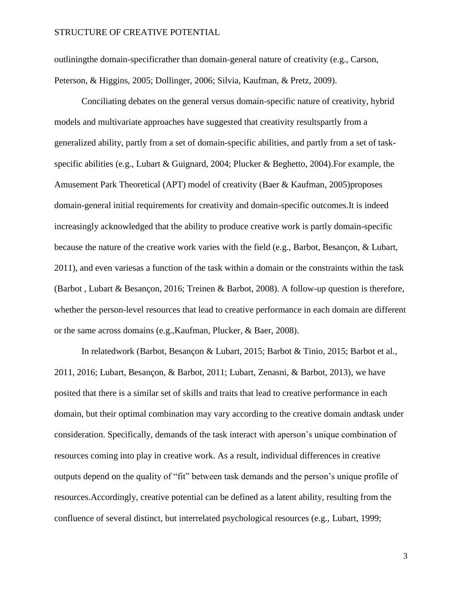outliningthe domain-specificrather than domain-general nature of creativity (e.g., Carson, Peterson, & Higgins, 2005; Dollinger, 2006; Silvia, Kaufman, & Pretz, 2009).

Conciliating debates on the general versus domain-specific nature of creativity, hybrid models and multivariate approaches have suggested that creativity resultspartly from a generalized ability, partly from a set of domain-specific abilities, and partly from a set of taskspecific abilities (e.g., Lubart & Guignard, 2004; Plucker & Beghetto, 2004).For example, the Amusement Park Theoretical (APT) model of creativity (Baer & Kaufman, 2005)proposes domain-general initial requirements for creativity and domain-specific outcomes.It is indeed increasingly acknowledged that the ability to produce creative work is partly domain-specific because the nature of the creative work varies with the field (e.g., Barbot, Besançon, & Lubart, 2011), and even variesas a function of the task within a domain or the constraints within the task (Barbot , Lubart & Besançon, 2016; Treinen & Barbot, 2008). A follow-up question is therefore, whether the person-level resources that lead to creative performance in each domain are different or the same across domains (e.g.,Kaufman, Plucker, & Baer, 2008).

In relatedwork (Barbot, Besançon & Lubart, 2015; Barbot & Tinio, 2015; Barbot et al., 2011, 2016; Lubart, Besançon, & Barbot, 2011; Lubart, Zenasni, & Barbot, 2013), we have posited that there is a similar set of skills and traits that lead to creative performance in each domain, but their optimal combination may vary according to the creative domain andtask under consideration. Specifically, demands of the task interact with aperson's unique combination of resources coming into play in creative work. As a result, individual differences in creative outputs depend on the quality of "fit" between task demands and the person's unique profile of resources.Accordingly, creative potential can be defined as a latent ability, resulting from the confluence of several distinct, but interrelated psychological resources (e.g., Lubart, 1999;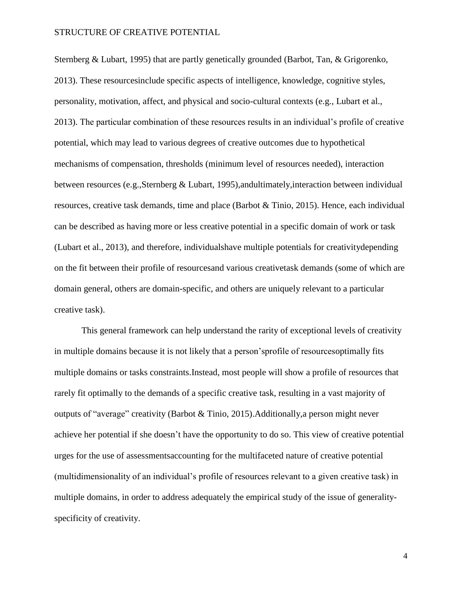Sternberg & Lubart, 1995) that are partly genetically grounded (Barbot, Tan, & Grigorenko, 2013). These resourcesinclude specific aspects of intelligence, knowledge, cognitive styles, personality, motivation, affect, and physical and socio-cultural contexts (e.g., Lubart et al., 2013). The particular combination of these resources results in an individual's profile of creative potential, which may lead to various degrees of creative outcomes due to hypothetical mechanisms of compensation, thresholds (minimum level of resources needed), interaction between resources (e.g.,Sternberg & Lubart, 1995),andultimately,interaction between individual resources, creative task demands, time and place (Barbot & Tinio, 2015). Hence, each individual can be described as having more or less creative potential in a specific domain of work or task (Lubart et al., 2013), and therefore, individualshave multiple potentials for creativitydepending on the fit between their profile of resourcesand various creativetask demands (some of which are domain general, others are domain-specific, and others are uniquely relevant to a particular creative task).

This general framework can help understand the rarity of exceptional levels of creativity in multiple domains because it is not likely that a person'sprofile of resourcesoptimally fits multiple domains or tasks constraints.Instead, most people will show a profile of resources that rarely fit optimally to the demands of a specific creative task, resulting in a vast majority of outputs of "average" creativity (Barbot & Tinio, 2015).Additionally,a person might never achieve her potential if she doesn't have the opportunity to do so. This view of creative potential urges for the use of assessmentsaccounting for the multifaceted nature of creative potential (multidimensionality of an individual's profile of resources relevant to a given creative task) in multiple domains, in order to address adequately the empirical study of the issue of generalityspecificity of creativity.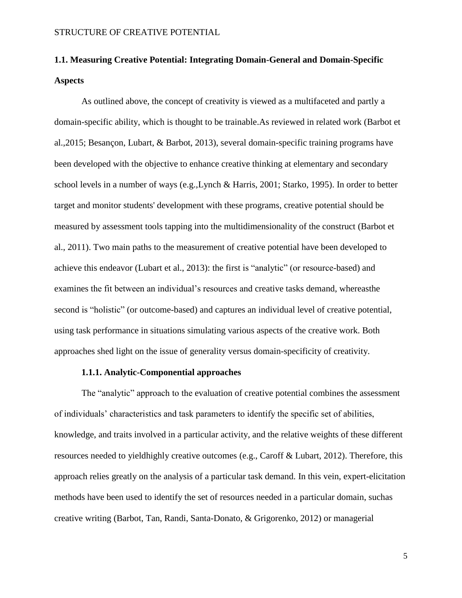## **1.1. Measuring Creative Potential: Integrating Domain-General and Domain-Specific Aspects**

As outlined above, the concept of creativity is viewed as a multifaceted and partly a domain-specific ability, which is thought to be trainable.As reviewed in related work (Barbot et al.,2015; Besançon, Lubart, & Barbot, 2013), several domain-specific training programs have been developed with the objective to enhance creative thinking at elementary and secondary school levels in a number of ways (e.g.,Lynch & Harris, 2001; Starko, 1995). In order to better target and monitor students' development with these programs, creative potential should be measured by assessment tools tapping into the multidimensionality of the construct (Barbot et al., 2011). Two main paths to the measurement of creative potential have been developed to achieve this endeavor (Lubart et al., 2013): the first is "analytic" (or resource-based) and examines the fit between an individual's resources and creative tasks demand, whereasthe second is "holistic" (or outcome-based) and captures an individual level of creative potential, using task performance in situations simulating various aspects of the creative work. Both approaches shed light on the issue of generality versus domain-specificity of creativity.

#### **1.1.1. Analytic-Componential approaches**

The "analytic" approach to the evaluation of creative potential combines the assessment of individuals' characteristics and task parameters to identify the specific set of abilities, knowledge, and traits involved in a particular activity, and the relative weights of these different resources needed to yieldhighly creative outcomes (e.g., Caroff & Lubart, 2012). Therefore, this approach relies greatly on the analysis of a particular task demand. In this vein, expert-elicitation methods have been used to identify the set of resources needed in a particular domain, suchas creative writing (Barbot, Tan, Randi, Santa-Donato, & Grigorenko, 2012) or managerial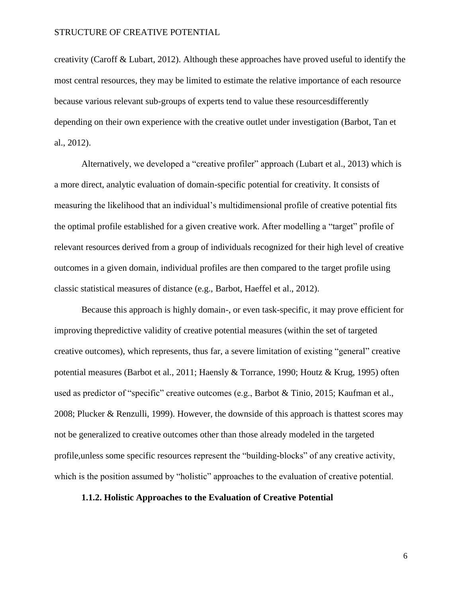creativity (Caroff & Lubart, 2012). Although these approaches have proved useful to identify the most central resources, they may be limited to estimate the relative importance of each resource because various relevant sub-groups of experts tend to value these resourcesdifferently depending on their own experience with the creative outlet under investigation (Barbot, Tan et al., 2012).

Alternatively, we developed a "creative profiler" approach (Lubart et al., 2013) which is a more direct, analytic evaluation of domain-specific potential for creativity. It consists of measuring the likelihood that an individual's multidimensional profile of creative potential fits the optimal profile established for a given creative work. After modelling a "target" profile of relevant resources derived from a group of individuals recognized for their high level of creative outcomes in a given domain, individual profiles are then compared to the target profile using classic statistical measures of distance (e.g., Barbot, Haeffel et al., 2012).

Because this approach is highly domain-, or even task-specific, it may prove efficient for improving thepredictive validity of creative potential measures (within the set of targeted creative outcomes), which represents, thus far, a severe limitation of existing "general" creative potential measures (Barbot et al., 2011; Haensly & Torrance, 1990; Houtz & Krug, 1995) often used as predictor of "specific" creative outcomes (e.g., Barbot & Tinio, 2015; Kaufman et al., 2008; Plucker & Renzulli, 1999). However, the downside of this approach is thattest scores may not be generalized to creative outcomes other than those already modeled in the targeted profile,unless some specific resources represent the "building-blocks" of any creative activity, which is the position assumed by "holistic" approaches to the evaluation of creative potential.

#### **1.1.2. Holistic Approaches to the Evaluation of Creative Potential**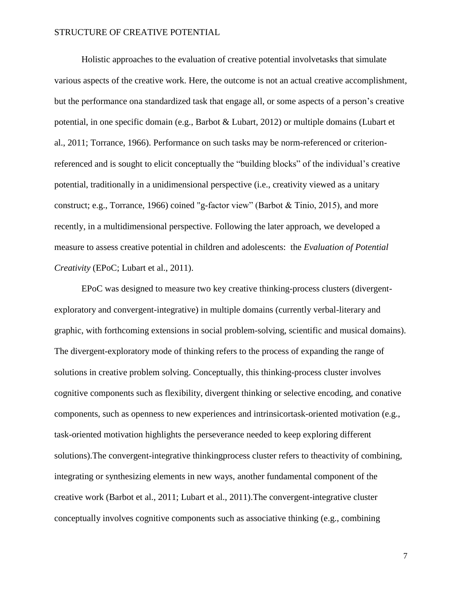Holistic approaches to the evaluation of creative potential involvetasks that simulate various aspects of the creative work. Here, the outcome is not an actual creative accomplishment, but the performance ona standardized task that engage all, or some aspects of a person's creative potential, in one specific domain (e.g., Barbot & Lubart, 2012) or multiple domains (Lubart et al., 2011; Torrance, 1966). Performance on such tasks may be norm-referenced or criterionreferenced and is sought to elicit conceptually the "building blocks" of the individual's creative potential, traditionally in a unidimensional perspective (i.e., creativity viewed as a unitary construct; e.g., Torrance, 1966) coined "g-factor view" (Barbot & Tinio, 2015), and more recently, in a multidimensional perspective. Following the later approach, we developed a measure to assess creative potential in children and adolescents: the *Evaluation of Potential Creativity* (EPoC; Lubart et al., 2011).

EPoC was designed to measure two key creative thinking-process clusters (divergentexploratory and convergent-integrative) in multiple domains (currently verbal-literary and graphic, with forthcoming extensions in social problem-solving, scientific and musical domains). The divergent-exploratory mode of thinking refers to the process of expanding the range of solutions in creative problem solving. Conceptually, this thinking-process cluster involves cognitive components such as flexibility, divergent thinking or selective encoding, and conative components, such as openness to new experiences and intrinsicortask-oriented motivation (e.g., task-oriented motivation highlights the perseverance needed to keep exploring different solutions).The convergent-integrative thinkingprocess cluster refers to theactivity of combining, integrating or synthesizing elements in new ways, another fundamental component of the creative work (Barbot et al., 2011; Lubart et al., 2011).The convergent-integrative cluster conceptually involves cognitive components such as associative thinking (e.g., combining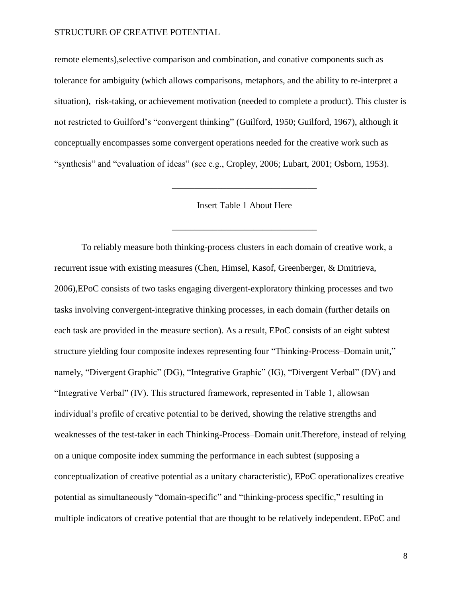remote elements),selective comparison and combination, and conative components such as tolerance for ambiguity (which allows comparisons, metaphors, and the ability to re-interpret a situation), risk-taking, or achievement motivation (needed to complete a product). This cluster is not restricted to Guilford's "convergent thinking" (Guilford, 1950; Guilford, 1967), although it conceptually encompasses some convergent operations needed for the creative work such as "synthesis" and "evaluation of ideas" (see e.g., Cropley, 2006; Lubart, 2001; Osborn, 1953).

Insert Table 1 About Here

\_\_\_\_\_\_\_\_\_\_\_\_\_\_\_\_\_\_\_\_\_\_\_\_\_\_\_\_\_\_\_\_

\_\_\_\_\_\_\_\_\_\_\_\_\_\_\_\_\_\_\_\_\_\_\_\_\_\_\_\_\_\_\_\_

To reliably measure both thinking-process clusters in each domain of creative work, a recurrent issue with existing measures (Chen, Himsel, Kasof, Greenberger, & Dmitrieva, 2006),EPoC consists of two tasks engaging divergent-exploratory thinking processes and two tasks involving convergent-integrative thinking processes, in each domain (further details on each task are provided in the measure section). As a result, EPoC consists of an eight subtest structure yielding four composite indexes representing four "Thinking-Process–Domain unit," namely, "Divergent Graphic" (DG), "Integrative Graphic" (IG), "Divergent Verbal" (DV) and "Integrative Verbal" (IV). This structured framework, represented in Table 1, allowsan individual's profile of creative potential to be derived, showing the relative strengths and weaknesses of the test-taker in each Thinking-Process–Domain unit.Therefore, instead of relying on a unique composite index summing the performance in each subtest (supposing a conceptualization of creative potential as a unitary characteristic), EPoC operationalizes creative potential as simultaneously "domain-specific" and "thinking-process specific," resulting in multiple indicators of creative potential that are thought to be relatively independent. EPoC and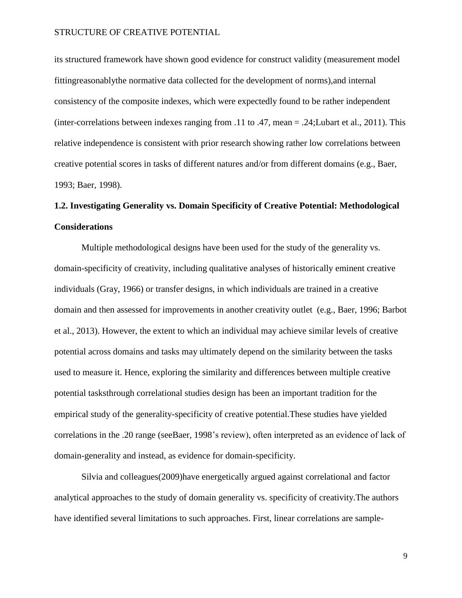its structured framework have shown good evidence for construct validity (measurement model fittingreasonablythe normative data collected for the development of norms),and internal consistency of the composite indexes, which were expectedly found to be rather independent (inter-correlations between indexes ranging from .11 to .47, mean = .24;Lubart et al., 2011). This relative independence is consistent with prior research showing rather low correlations between creative potential scores in tasks of different natures and/or from different domains (e.g., Baer, 1993; Baer, 1998).

## **1.2. Investigating Generality vs. Domain Specificity of Creative Potential: Methodological Considerations**

Multiple methodological designs have been used for the study of the generality vs. domain-specificity of creativity, including qualitative analyses of historically eminent creative individuals (Gray, 1966) or transfer designs, in which individuals are trained in a creative domain and then assessed for improvements in another creativity outlet (e.g., Baer, 1996; Barbot et al., 2013). However, the extent to which an individual may achieve similar levels of creative potential across domains and tasks may ultimately depend on the similarity between the tasks used to measure it. Hence, exploring the similarity and differences between multiple creative potential tasksthrough correlational studies design has been an important tradition for the empirical study of the generality-specificity of creative potential.These studies have yielded correlations in the .20 range (seeBaer, 1998's review), often interpreted as an evidence of lack of domain-generality and instead, as evidence for domain-specificity.

Silvia and colleagues(2009)have energetically argued against correlational and factor analytical approaches to the study of domain generality vs. specificity of creativity.The authors have identified several limitations to such approaches. First, linear correlations are sample-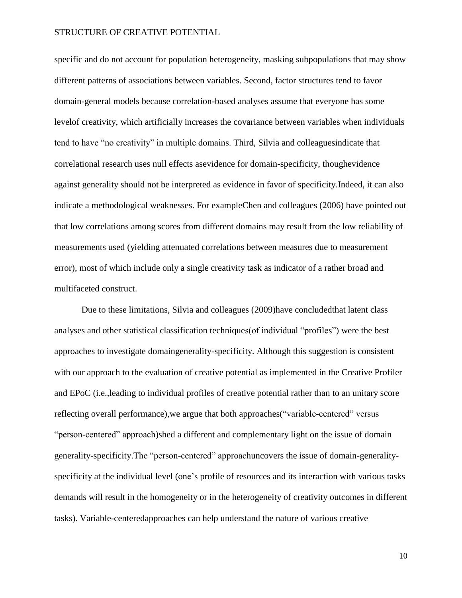specific and do not account for population heterogeneity, masking subpopulations that may show different patterns of associations between variables. Second, factor structures tend to favor domain-general models because correlation-based analyses assume that everyone has some levelof creativity, which artificially increases the covariance between variables when individuals tend to have "no creativity" in multiple domains. Third, Silvia and colleaguesindicate that correlational research uses null effects asevidence for domain-specificity, thoughevidence against generality should not be interpreted as evidence in favor of specificity.Indeed, it can also indicate a methodological weaknesses. For exampleChen and colleagues (2006) have pointed out that low correlations among scores from different domains may result from the low reliability of measurements used (yielding attenuated correlations between measures due to measurement error), most of which include only a single creativity task as indicator of a rather broad and multifaceted construct.

Due to these limitations, Silvia and colleagues (2009)have concludedthat latent class analyses and other statistical classification techniques(of individual "profiles") were the best approaches to investigate domaingenerality-specificity. Although this suggestion is consistent with our approach to the evaluation of creative potential as implemented in the Creative Profiler and EPoC (i.e.,leading to individual profiles of creative potential rather than to an unitary score reflecting overall performance),we argue that both approaches("variable-centered" versus "person-centered" approach)shed a different and complementary light on the issue of domain generality-specificity.The "person-centered" approachuncovers the issue of domain-generalityspecificity at the individual level (one's profile of resources and its interaction with various tasks demands will result in the homogeneity or in the heterogeneity of creativity outcomes in different tasks). Variable-centeredapproaches can help understand the nature of various creative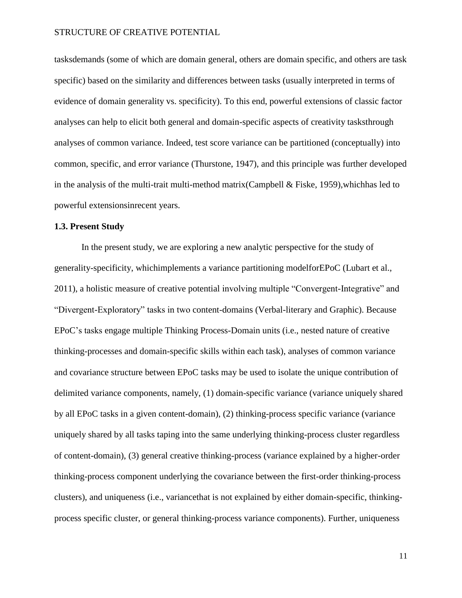tasksdemands (some of which are domain general, others are domain specific, and others are task specific) based on the similarity and differences between tasks (usually interpreted in terms of evidence of domain generality vs. specificity). To this end, powerful extensions of classic factor analyses can help to elicit both general and domain-specific aspects of creativity tasksthrough analyses of common variance. Indeed, test score variance can be partitioned (conceptually) into common, specific, and error variance (Thurstone, 1947), and this principle was further developed in the analysis of the multi-trait multi-method matrix(Campbell & Fiske, 1959),whichhas led to powerful extensionsinrecent years.

#### **1.3. Present Study**

In the present study, we are exploring a new analytic perspective for the study of generality-specificity, whichimplements a variance partitioning modelforEPoC (Lubart et al., 2011), a holistic measure of creative potential involving multiple "Convergent-Integrative" and "Divergent-Exploratory" tasks in two content-domains (Verbal-literary and Graphic). Because EPoC's tasks engage multiple Thinking Process-Domain units (i.e., nested nature of creative thinking-processes and domain-specific skills within each task), analyses of common variance and covariance structure between EPoC tasks may be used to isolate the unique contribution of delimited variance components, namely, (1) domain-specific variance (variance uniquely shared by all EPoC tasks in a given content-domain), (2) thinking-process specific variance (variance uniquely shared by all tasks taping into the same underlying thinking-process cluster regardless of content-domain), (3) general creative thinking-process (variance explained by a higher-order thinking-process component underlying the covariance between the first-order thinking-process clusters), and uniqueness (i.e., variancethat is not explained by either domain-specific, thinkingprocess specific cluster, or general thinking-process variance components). Further, uniqueness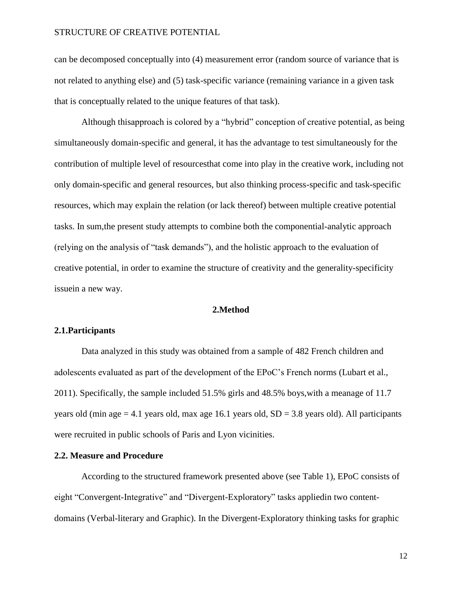can be decomposed conceptually into (4) measurement error (random source of variance that is not related to anything else) and (5) task-specific variance (remaining variance in a given task that is conceptually related to the unique features of that task).

Although thisapproach is colored by a "hybrid" conception of creative potential, as being simultaneously domain-specific and general, it has the advantage to test simultaneously for the contribution of multiple level of resourcesthat come into play in the creative work, including not only domain-specific and general resources, but also thinking process-specific and task-specific resources, which may explain the relation (or lack thereof) between multiple creative potential tasks. In sum,the present study attempts to combine both the componential-analytic approach (relying on the analysis of "task demands"), and the holistic approach to the evaluation of creative potential, in order to examine the structure of creativity and the generality-specificity issuein a new way.

#### **2.Method**

#### **2.1.Participants**

Data analyzed in this study was obtained from a sample of 482 French children and adolescents evaluated as part of the development of the EPoC's French norms (Lubart et al., 2011). Specifically, the sample included 51.5% girls and 48.5% boys,with a meanage of 11.7 years old (min age  $= 4.1$  years old, max age 16.1 years old,  $SD = 3.8$  years old). All participants were recruited in public schools of Paris and Lyon vicinities.

#### **2.2. Measure and Procedure**

According to the structured framework presented above (see Table 1), EPoC consists of eight "Convergent-Integrative" and "Divergent-Exploratory" tasks appliedin two contentdomains (Verbal-literary and Graphic). In the Divergent-Exploratory thinking tasks for graphic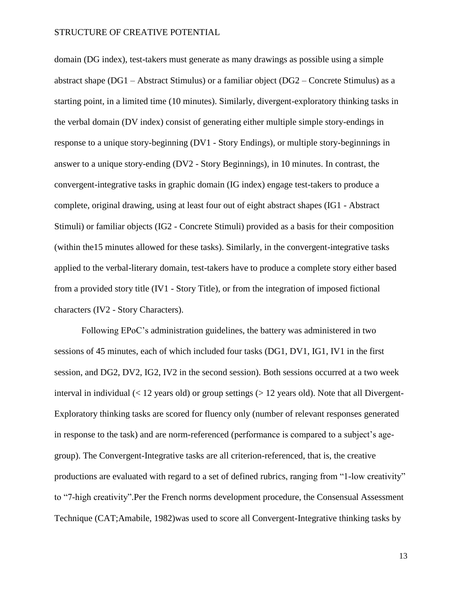domain (DG index), test-takers must generate as many drawings as possible using a simple abstract shape (DG1 – Abstract Stimulus) or a familiar object (DG2 – Concrete Stimulus) as a starting point, in a limited time (10 minutes). Similarly, divergent-exploratory thinking tasks in the verbal domain (DV index) consist of generating either multiple simple story-endings in response to a unique story-beginning (DV1 - Story Endings), or multiple story-beginnings in answer to a unique story-ending (DV2 - Story Beginnings), in 10 minutes. In contrast, the convergent-integrative tasks in graphic domain (IG index) engage test-takers to produce a complete, original drawing, using at least four out of eight abstract shapes (IG1 - Abstract Stimuli) or familiar objects (IG2 - Concrete Stimuli) provided as a basis for their composition (within the15 minutes allowed for these tasks). Similarly, in the convergent-integrative tasks applied to the verbal-literary domain, test-takers have to produce a complete story either based from a provided story title (IV1 - Story Title), or from the integration of imposed fictional characters (IV2 - Story Characters).

Following EPoC's administration guidelines, the battery was administered in two sessions of 45 minutes, each of which included four tasks (DG1, DV1, IG1, IV1 in the first session, and DG2, DV2, IG2, IV2 in the second session). Both sessions occurred at a two week interval in individual  $\ll$  12 years old) or group settings  $\ll$  12 years old). Note that all Divergent-Exploratory thinking tasks are scored for fluency only (number of relevant responses generated in response to the task) and are norm-referenced (performance is compared to a subject's agegroup). The Convergent-Integrative tasks are all criterion-referenced, that is, the creative productions are evaluated with regard to a set of defined rubrics, ranging from "1-low creativity" to "7-high creativity".Per the French norms development procedure, the Consensual Assessment Technique (CAT;Amabile, 1982)was used to score all Convergent-Integrative thinking tasks by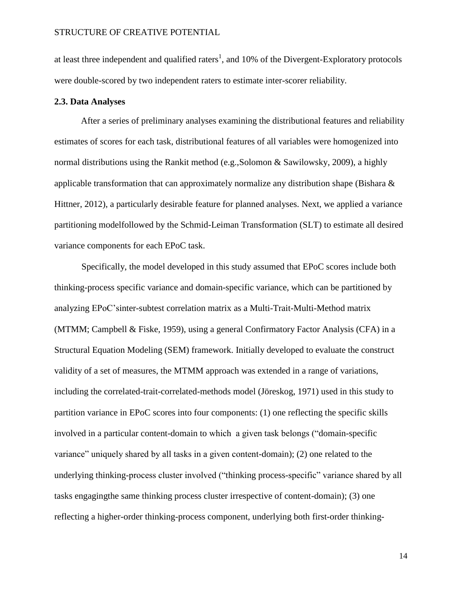at least three independent and qualified raters<sup>1</sup>, and 10% of the Divergent-Exploratory protocols were double-scored by two independent raters to estimate inter-scorer reliability.

#### **2.3. Data Analyses**

After a series of preliminary analyses examining the distributional features and reliability estimates of scores for each task, distributional features of all variables were homogenized into normal distributions using the Rankit method (e.g.,Solomon & Sawilowsky, 2009), a highly applicable transformation that can approximately normalize any distribution shape (Bishara & Hittner, 2012), a particularly desirable feature for planned analyses. Next, we applied a variance partitioning modelfollowed by the Schmid-Leiman Transformation (SLT) to estimate all desired variance components for each EPoC task.

Specifically, the model developed in this study assumed that EPoC scores include both thinking-process specific variance and domain-specific variance, which can be partitioned by analyzing EPoC'sinter-subtest correlation matrix as a Multi-Trait-Multi-Method matrix (MTMM; Campbell & Fiske, 1959), using a general Confirmatory Factor Analysis (CFA) in a Structural Equation Modeling (SEM) framework. Initially developed to evaluate the construct validity of a set of measures, the MTMM approach was extended in a range of variations, including the correlated-trait-correlated-methods model (Jöreskog, 1971) used in this study to partition variance in EPoC scores into four components: (1) one reflecting the specific skills involved in a particular content-domain to which a given task belongs ("domain-specific variance" uniquely shared by all tasks in a given content-domain); (2) one related to the underlying thinking-process cluster involved ("thinking process-specific" variance shared by all tasks engagingthe same thinking process cluster irrespective of content-domain); (3) one reflecting a higher-order thinking-process component, underlying both first-order thinking-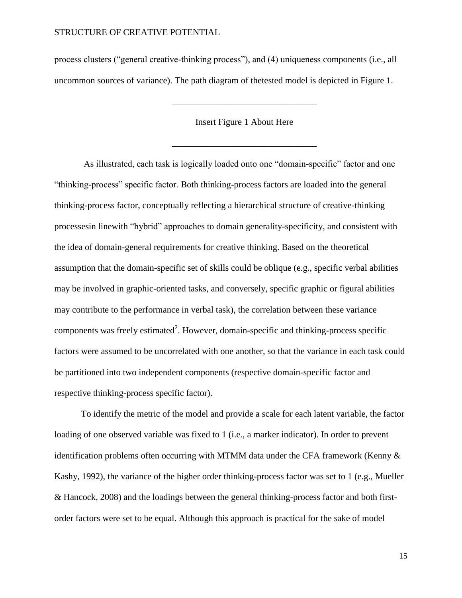process clusters ("general creative-thinking process"), and (4) uniqueness components (i.e., all uncommon sources of variance). The path diagram of thetested model is depicted in Figure 1.

Insert Figure 1 About Here

\_\_\_\_\_\_\_\_\_\_\_\_\_\_\_\_\_\_\_\_\_\_\_\_\_\_\_\_\_\_\_\_

\_\_\_\_\_\_\_\_\_\_\_\_\_\_\_\_\_\_\_\_\_\_\_\_\_\_\_\_\_\_\_\_

As illustrated, each task is logically loaded onto one "domain-specific" factor and one "thinking-process" specific factor. Both thinking-process factors are loaded into the general thinking-process factor, conceptually reflecting a hierarchical structure of creative-thinking processesin linewith "hybrid" approaches to domain generality-specificity, and consistent with the idea of domain-general requirements for creative thinking. Based on the theoretical assumption that the domain-specific set of skills could be oblique (e.g., specific verbal abilities may be involved in graphic-oriented tasks, and conversely, specific graphic or figural abilities may contribute to the performance in verbal task), the correlation between these variance components was freely estimated<sup>2</sup>. However, domain-specific and thinking-process specific factors were assumed to be uncorrelated with one another, so that the variance in each task could be partitioned into two independent components (respective domain-specific factor and respective thinking-process specific factor).

To identify the metric of the model and provide a scale for each latent variable, the factor loading of one observed variable was fixed to 1 (i.e., a marker indicator). In order to prevent identification problems often occurring with MTMM data under the CFA framework (Kenny  $\&$ Kashy, 1992), the variance of the higher order thinking-process factor was set to 1 (e.g., Mueller & Hancock, 2008) and the loadings between the general thinking-process factor and both firstorder factors were set to be equal. Although this approach is practical for the sake of model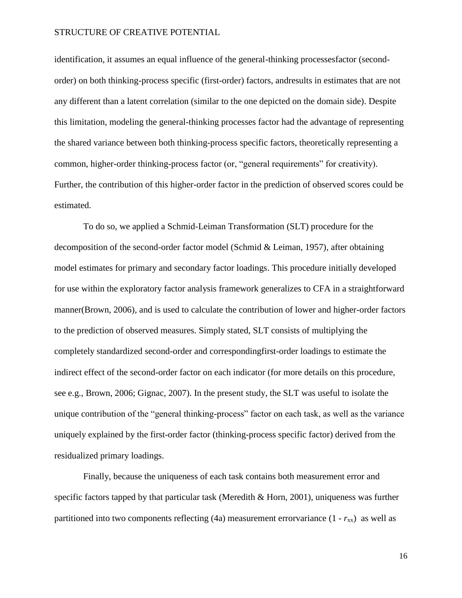identification, it assumes an equal influence of the general-thinking processesfactor (secondorder) on both thinking-process specific (first-order) factors, andresults in estimates that are not any different than a latent correlation (similar to the one depicted on the domain side). Despite this limitation, modeling the general-thinking processes factor had the advantage of representing the shared variance between both thinking-process specific factors, theoretically representing a common, higher-order thinking-process factor (or, "general requirements" for creativity). Further, the contribution of this higher-order factor in the prediction of observed scores could be estimated.

To do so, we applied a Schmid-Leiman Transformation (SLT) procedure for the decomposition of the second-order factor model (Schmid & Leiman, 1957), after obtaining model estimates for primary and secondary factor loadings. This procedure initially developed for use within the exploratory factor analysis framework generalizes to CFA in a straightforward manner(Brown, 2006), and is used to calculate the contribution of lower and higher-order factors to the prediction of observed measures. Simply stated, SLT consists of multiplying the completely standardized second-order and correspondingfirst-order loadings to estimate the indirect effect of the second-order factor on each indicator (for more details on this procedure, see e.g., Brown, 2006; Gignac, 2007). In the present study, the SLT was useful to isolate the unique contribution of the "general thinking-process" factor on each task, as well as the variance uniquely explained by the first-order factor (thinking-process specific factor) derived from the residualized primary loadings.

Finally, because the uniqueness of each task contains both measurement error and specific factors tapped by that particular task (Meredith & Horn, 2001), uniqueness was further partitioned into two components reflecting (4a) measurement errorvariance  $(1 - r_{xx})$  as well as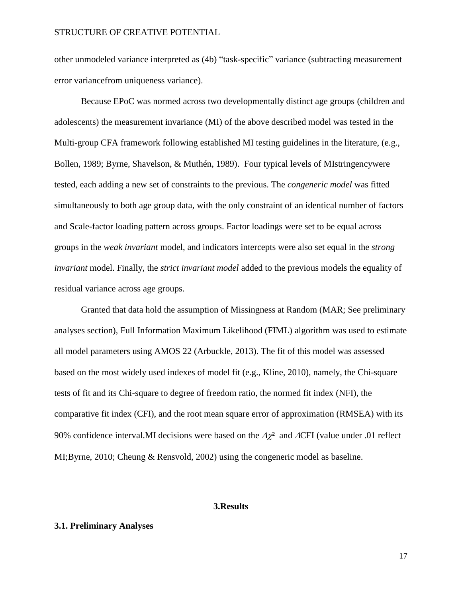other unmodeled variance interpreted as (4b) "task-specific" variance (subtracting measurement error variancefrom uniqueness variance).

Because EPoC was normed across two developmentally distinct age groups (children and adolescents) the measurement invariance (MI) of the above described model was tested in the Multi-group CFA framework following established MI testing guidelines in the literature, (e.g., Bollen, 1989; Byrne, Shavelson, & Muthén, 1989). Four typical levels of MIstringencywere tested, each adding a new set of constraints to the previous. The *congeneric model* was fitted simultaneously to both age group data, with the only constraint of an identical number of factors and Scale-factor loading pattern across groups. Factor loadings were set to be equal across groups in the *weak invariant* model, and indicators intercepts were also set equal in the *strong invariant* model. Finally, the *strict invariant model* added to the previous models the equality of residual variance across age groups.

Granted that data hold the assumption of Missingness at Random (MAR; See preliminary analyses section), Full Information Maximum Likelihood (FIML) algorithm was used to estimate all model parameters using AMOS 22 (Arbuckle, 2013). The fit of this model was assessed based on the most widely used indexes of model fit (e.g., Kline, 2010), namely, the Chi-square tests of fit and its Chi-square to degree of freedom ratio, the normed fit index (NFI), the comparative fit index (CFI), and the root mean square error of approximation (RMSEA) with its 90% confidence interval.MI decisions were based on the  $\Delta \chi^2$  and  $\Delta$ CFI (value under .01 reflect MI;Byrne, 2010; Cheung & Rensvold, 2002) using the congeneric model as baseline.

#### **3.Results**

#### **3.1. Preliminary Analyses**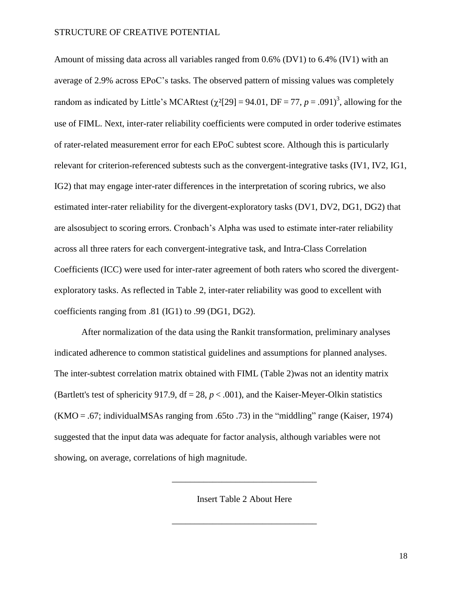Amount of missing data across all variables ranged from 0.6% (DV1) to 6.4% (IV1) with an average of 2.9% across EPoC's tasks. The observed pattern of missing values was completely random as indicated by Little's MCARtest ( $\chi^2$ [29] = 94.01, DF = 77, *p* = .091)<sup>3</sup>, allowing for the use of FIML. Next, inter-rater reliability coefficients were computed in order toderive estimates of rater-related measurement error for each EPoC subtest score. Although this is particularly relevant for criterion-referenced subtests such as the convergent-integrative tasks (IV1, IV2, IG1, IG2) that may engage inter-rater differences in the interpretation of scoring rubrics, we also estimated inter-rater reliability for the divergent-exploratory tasks (DV1, DV2, DG1, DG2) that are alsosubject to scoring errors. Cronbach's Alpha was used to estimate inter-rater reliability across all three raters for each convergent-integrative task, and Intra-Class Correlation Coefficients (ICC) were used for inter-rater agreement of both raters who scored the divergentexploratory tasks. As reflected in Table 2, inter-rater reliability was good to excellent with coefficients ranging from .81 (IG1) to .99 (DG1, DG2).

After normalization of the data using the Rankit transformation, preliminary analyses indicated adherence to common statistical guidelines and assumptions for planned analyses. The inter-subtest correlation matrix obtained with FIML (Table 2)was not an identity matrix (Bartlett's test of sphericity 917.9,  $df = 28$ ,  $p < .001$ ), and the Kaiser-Meyer-Olkin statistics  $(KMO = .67$ ; individualMSAs ranging from .65to .73) in the "middling" range (Kaiser, 1974) suggested that the input data was adequate for factor analysis, although variables were not showing, on average, correlations of high magnitude.

Insert Table 2 About Here

\_\_\_\_\_\_\_\_\_\_\_\_\_\_\_\_\_\_\_\_\_\_\_\_\_\_\_\_\_\_\_\_

\_\_\_\_\_\_\_\_\_\_\_\_\_\_\_\_\_\_\_\_\_\_\_\_\_\_\_\_\_\_\_\_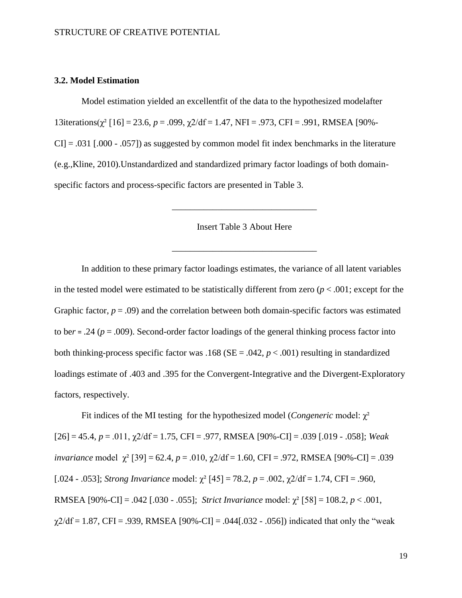#### **3.2. Model Estimation**

Model estimation yielded an excellentfit of the data to the hypothesized modelafter 13iterations(χ² [16] = 23.6, *p* = .099, χ2/df = 1.47, NFI = .973, CFI = .991, RMSEA [90%-  $CI = .031$  [.000 - .057]) as suggested by common model fit index benchmarks in the literature (e.g.,Kline, 2010).Unstandardized and standardized primary factor loadings of both domainspecific factors and process-specific factors are presented in Table 3.

Insert Table 3 About Here

\_\_\_\_\_\_\_\_\_\_\_\_\_\_\_\_\_\_\_\_\_\_\_\_\_\_\_\_\_\_\_\_

\_\_\_\_\_\_\_\_\_\_\_\_\_\_\_\_\_\_\_\_\_\_\_\_\_\_\_\_\_\_\_\_

In addition to these primary factor loadings estimates, the variance of all latent variables in the tested model were estimated to be statistically different from zero  $(p < .001)$ ; except for the Graphic factor,  $p = .09$ ) and the correlation between both domain-specific factors was estimated to be*r* = .24 (*p* = .009). Second-order factor loadings of the general thinking process factor into both thinking-process specific factor was .168 (SE = .042, *p* < .001) resulting in standardized loadings estimate of .403 and .395 for the Convergent-Integrative and the Divergent-Exploratory factors, respectively.

Fit indices of the MI testing for the hypothesized model (*Congeneric* model: χ²  $[26] = 45.4$ ,  $p = .011$ ,  $\gamma$ 2/df = 1.75, CFI = .977, RMSEA  $[90\%$ -CI] = .039 [.019 - .058]; *Weak invariance* model γ<sup>2</sup> [39] = 62.4, *p* = .010, γ2/df = 1.60, CFI = .972, RMSEA [90%-CI] = .039 [.024 - .053]; *Strong Invariance* model:  $\chi^2$  [45] = 78.2, *p* = .002,  $\chi$ 2/df = 1.74, CFI = .960, RMSEA [90%-CI] = .042 [.030 - .055]; *Strict Invariance* model: χ² [58] = 108.2, *p* < .001,  $\chi$ 2/df = 1.87, CFI = .939, RMSEA [90%-CI] = .044[.032 - .056]) indicated that only the "weak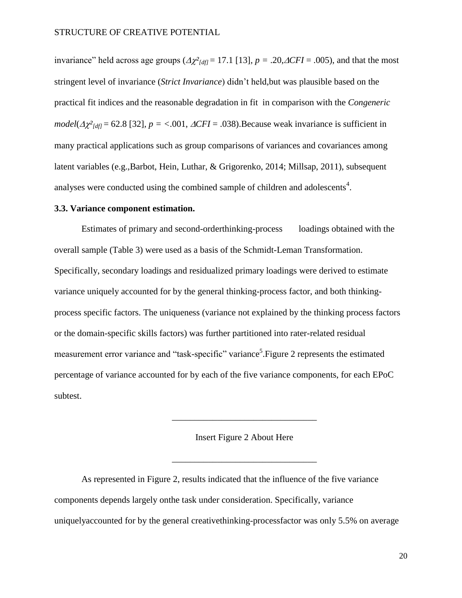invariance" held across age groups  $(\Delta \chi^2_{\text{Idf}} = 17.1$  [13]*, p* = .20, $\Delta CFI = .005$ ), and that the most stringent level of invariance (*Strict Invariance*) didn't held,but was plausible based on the practical fit indices and the reasonable degradation in fit in comparison with the *Congeneric model*( $\Delta \chi^2_{\text{Idf}}$  = 62.8 [32]*, p* = <.001*,*  $\Delta CFI$  = .038). Because weak invariance is sufficient in many practical applications such as group comparisons of variances and covariances among latent variables (e.g.,Barbot, Hein, Luthar, & Grigorenko, 2014; Millsap, 2011), subsequent analyses were conducted using the combined sample of children and adolescents<sup>4</sup>.

#### **3.3. Variance component estimation.**

Estimates of primary and second-orderthinking-process loadings obtained with the overall sample (Table 3) were used as a basis of the Schmidt-Leman Transformation. Specifically, secondary loadings and residualized primary loadings were derived to estimate variance uniquely accounted for by the general thinking-process factor, and both thinkingprocess specific factors. The uniqueness (variance not explained by the thinking process factors or the domain-specific skills factors) was further partitioned into rater-related residual measurement error variance and "task-specific" variance<sup>5</sup>. Figure 2 represents the estimated percentage of variance accounted for by each of the five variance components, for each EPoC subtest.

#### Insert Figure 2 About Here

\_\_\_\_\_\_\_\_\_\_\_\_\_\_\_\_\_\_\_\_\_\_\_\_\_\_\_\_\_\_\_\_

\_\_\_\_\_\_\_\_\_\_\_\_\_\_\_\_\_\_\_\_\_\_\_\_\_\_\_\_\_\_\_\_

As represented in Figure 2, results indicated that the influence of the five variance components depends largely onthe task under consideration. Specifically, variance uniquelyaccounted for by the general creativethinking-processfactor was only 5.5% on average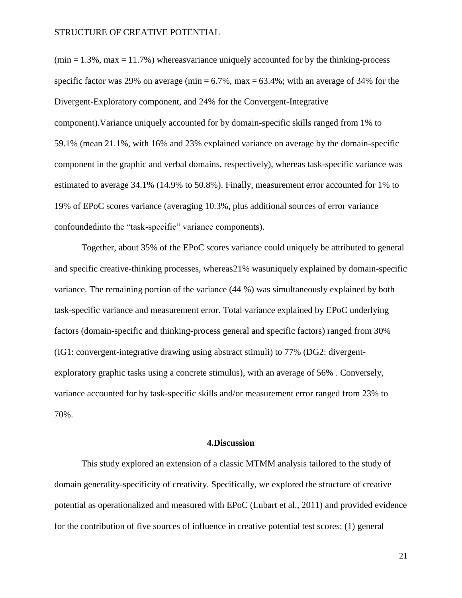$(\text{min} = 1.3\%, \text{max} = 11.7\%)$  whereasvariance uniquely accounted for by the thinking-process specific factor was 29% on average (min  $= 6.7\%$ , max  $= 63.4\%$ ; with an average of 34% for the Divergent-Exploratory component, and 24% for the Convergent-Integrative component).Variance uniquely accounted for by domain-specific skills ranged from 1% to 59.1% (mean 21.1%, with 16% and 23% explained variance on average by the domain-specific component in the graphic and verbal domains, respectively), whereas task-specific variance was estimated to average 34.1% (14.9% to 50.8%). Finally, measurement error accounted for 1% to 19% of EPoC scores variance (averaging 10.3%, plus additional sources of error variance confoundedinto the "task-specific" variance components).

Together, about 35% of the EPoC scores variance could uniquely be attributed to general and specific creative-thinking processes, whereas21% wasuniquely explained by domain-specific variance. The remaining portion of the variance (44 %) was simultaneously explained by both task-specific variance and measurement error. Total variance explained by EPoC underlying factors (domain-specific and thinking-process general and specific factors) ranged from 30% (IG1: convergent-integrative drawing using abstract stimuli) to 77% (DG2: divergentexploratory graphic tasks using a concrete stimulus), with an average of 56% . Conversely, variance accounted for by task-specific skills and/or measurement error ranged from 23% to 70%.

#### **4.Discussion**

This study explored an extension of a classic MTMM analysis tailored to the study of domain generality-specificity of creativity. Specifically, we explored the structure of creative potential as operationalized and measured with EPoC (Lubart et al., 2011) and provided evidence for the contribution of five sources of influence in creative potential test scores: (1) general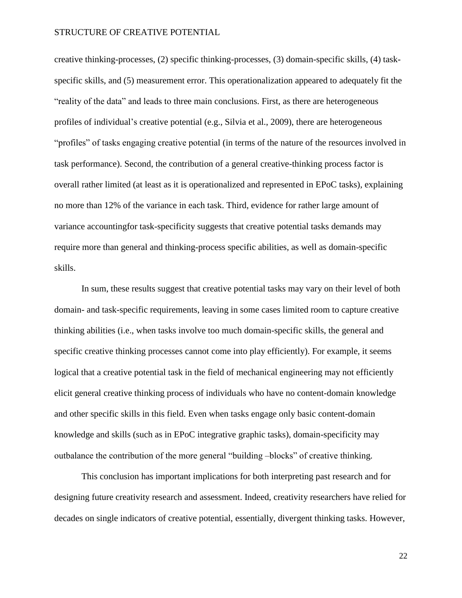creative thinking-processes, (2) specific thinking-processes, (3) domain-specific skills, (4) taskspecific skills, and (5) measurement error. This operationalization appeared to adequately fit the "reality of the data" and leads to three main conclusions. First, as there are heterogeneous profiles of individual's creative potential (e.g., Silvia et al., 2009), there are heterogeneous "profiles" of tasks engaging creative potential (in terms of the nature of the resources involved in task performance). Second, the contribution of a general creative-thinking process factor is overall rather limited (at least as it is operationalized and represented in EPoC tasks), explaining no more than 12% of the variance in each task. Third, evidence for rather large amount of variance accountingfor task-specificity suggests that creative potential tasks demands may require more than general and thinking-process specific abilities, as well as domain-specific skills.

In sum, these results suggest that creative potential tasks may vary on their level of both domain- and task-specific requirements, leaving in some cases limited room to capture creative thinking abilities (i.e., when tasks involve too much domain-specific skills, the general and specific creative thinking processes cannot come into play efficiently). For example, it seems logical that a creative potential task in the field of mechanical engineering may not efficiently elicit general creative thinking process of individuals who have no content-domain knowledge and other specific skills in this field. Even when tasks engage only basic content-domain knowledge and skills (such as in EPoC integrative graphic tasks), domain-specificity may outbalance the contribution of the more general "building –blocks" of creative thinking.

This conclusion has important implications for both interpreting past research and for designing future creativity research and assessment. Indeed, creativity researchers have relied for decades on single indicators of creative potential, essentially, divergent thinking tasks. However,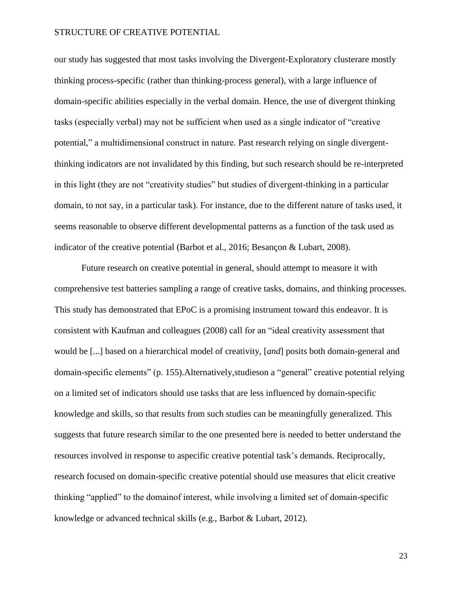our study has suggested that most tasks involving the Divergent-Exploratory clusterare mostly thinking process-specific (rather than thinking-process general), with a large influence of domain-specific abilities especially in the verbal domain. Hence, the use of divergent thinking tasks (especially verbal) may not be sufficient when used as a single indicator of "creative potential," a multidimensional construct in nature. Past research relying on single divergentthinking indicators are not invalidated by this finding, but such research should be re-interpreted in this light (they are not "creativity studies" but studies of divergent-thinking in a particular domain, to not say, in a particular task). For instance, due to the different nature of tasks used, it seems reasonable to observe different developmental patterns as a function of the task used as indicator of the creative potential (Barbot et al., 2016; Besançon & Lubart, 2008).

Future research on creative potential in general, should attempt to measure it with comprehensive test batteries sampling a range of creative tasks, domains, and thinking processes. This study has demonstrated that EPoC is a promising instrument toward this endeavor. It is consistent with Kaufman and colleagues (2008) call for an "ideal creativity assessment that would be [...] based on a hierarchical model of creativity, [*and*] posits both domain-general and domain-specific elements" (p. 155).Alternatively,studieson a "general" creative potential relying on a limited set of indicators should use tasks that are less influenced by domain-specific knowledge and skills, so that results from such studies can be meaningfully generalized. This suggests that future research similar to the one presented here is needed to better understand the resources involved in response to aspecific creative potential task's demands. Reciprocally, research focused on domain-specific creative potential should use measures that elicit creative thinking "applied" to the domainof interest, while involving a limited set of domain-specific knowledge or advanced technical skills (e.g., Barbot & Lubart, 2012).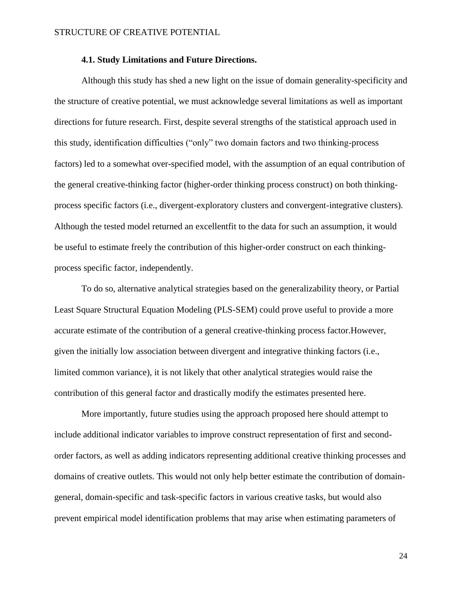#### **4.1. Study Limitations and Future Directions.**

Although this study has shed a new light on the issue of domain generality-specificity and the structure of creative potential, we must acknowledge several limitations as well as important directions for future research. First, despite several strengths of the statistical approach used in this study, identification difficulties ("only" two domain factors and two thinking-process factors) led to a somewhat over-specified model, with the assumption of an equal contribution of the general creative-thinking factor (higher-order thinking process construct) on both thinkingprocess specific factors (i.e., divergent-exploratory clusters and convergent-integrative clusters). Although the tested model returned an excellentfit to the data for such an assumption, it would be useful to estimate freely the contribution of this higher-order construct on each thinkingprocess specific factor, independently.

To do so, alternative analytical strategies based on the generalizability theory, or Partial Least Square Structural Equation Modeling (PLS-SEM) could prove useful to provide a more accurate estimate of the contribution of a general creative-thinking process factor.However, given the initially low association between divergent and integrative thinking factors (i.e., limited common variance), it is not likely that other analytical strategies would raise the contribution of this general factor and drastically modify the estimates presented here.

More importantly, future studies using the approach proposed here should attempt to include additional indicator variables to improve construct representation of first and secondorder factors, as well as adding indicators representing additional creative thinking processes and domains of creative outlets. This would not only help better estimate the contribution of domaingeneral, domain-specific and task-specific factors in various creative tasks, but would also prevent empirical model identification problems that may arise when estimating parameters of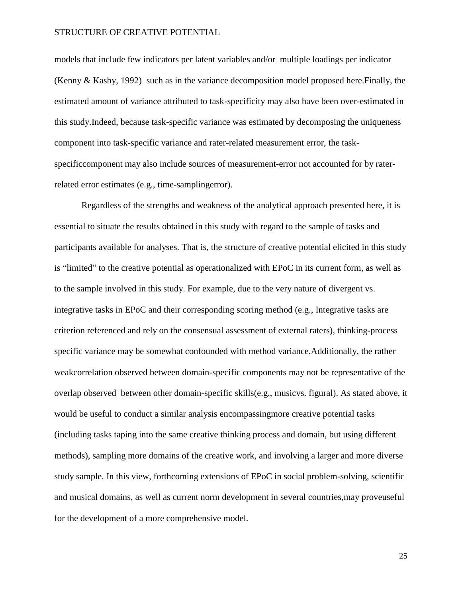models that include few indicators per latent variables and/or multiple loadings per indicator (Kenny & Kashy, 1992) such as in the variance decomposition model proposed here.Finally, the estimated amount of variance attributed to task-specificity may also have been over-estimated in this study.Indeed, because task-specific variance was estimated by decomposing the uniqueness component into task-specific variance and rater-related measurement error, the taskspecificcomponent may also include sources of measurement-error not accounted for by raterrelated error estimates (e.g., time-samplingerror).

Regardless of the strengths and weakness of the analytical approach presented here, it is essential to situate the results obtained in this study with regard to the sample of tasks and participants available for analyses. That is, the structure of creative potential elicited in this study is "limited" to the creative potential as operationalized with EPoC in its current form, as well as to the sample involved in this study. For example, due to the very nature of divergent vs. integrative tasks in EPoC and their corresponding scoring method (e.g., Integrative tasks are criterion referenced and rely on the consensual assessment of external raters), thinking-process specific variance may be somewhat confounded with method variance.Additionally, the rather weakcorrelation observed between domain-specific components may not be representative of the overlap observed between other domain-specific skills(e.g., musicvs. figural). As stated above, it would be useful to conduct a similar analysis encompassingmore creative potential tasks (including tasks taping into the same creative thinking process and domain, but using different methods), sampling more domains of the creative work, and involving a larger and more diverse study sample. In this view, forthcoming extensions of EPoC in social problem-solving, scientific and musical domains, as well as current norm development in several countries,may proveuseful for the development of a more comprehensive model.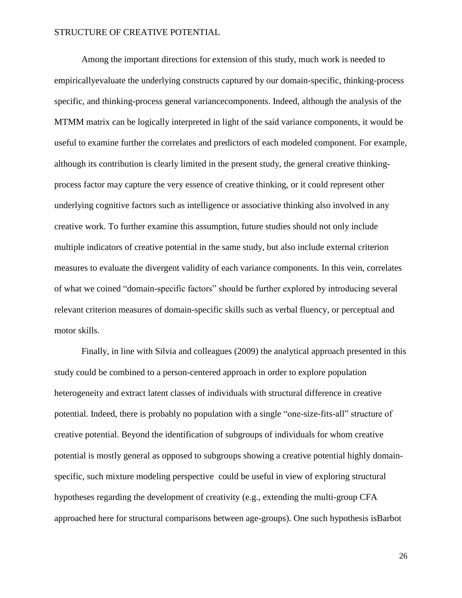Among the important directions for extension of this study, much work is needed to empiricallyevaluate the underlying constructs captured by our domain-specific, thinking-process specific, and thinking-process general variancecomponents. Indeed, although the analysis of the MTMM matrix can be logically interpreted in light of the said variance components, it would be useful to examine further the correlates and predictors of each modeled component. For example, although its contribution is clearly limited in the present study, the general creative thinkingprocess factor may capture the very essence of creative thinking, or it could represent other underlying cognitive factors such as intelligence or associative thinking also involved in any creative work. To further examine this assumption, future studies should not only include multiple indicators of creative potential in the same study, but also include external criterion measures to evaluate the divergent validity of each variance components. In this vein, correlates of what we coined "domain-specific factors" should be further explored by introducing several relevant criterion measures of domain-specific skills such as verbal fluency, or perceptual and motor skills.

Finally, in line with Silvia and colleagues (2009) the analytical approach presented in this study could be combined to a person-centered approach in order to explore population heterogeneity and extract latent classes of individuals with structural difference in creative potential. Indeed, there is probably no population with a single "one-size-fits-all" structure of creative potential. Beyond the identification of subgroups of individuals for whom creative potential is mostly general as opposed to subgroups showing a creative potential highly domainspecific, such mixture modeling perspective could be useful in view of exploring structural hypotheses regarding the development of creativity (e.g., extending the multi-group CFA approached here for structural comparisons between age-groups). One such hypothesis isBarbot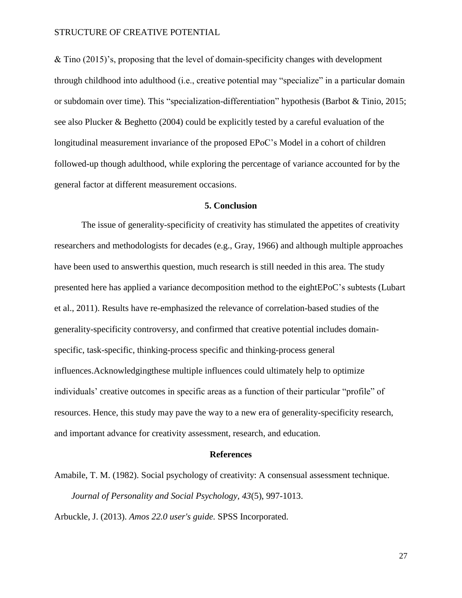& Tino (2015)'s, proposing that the level of domain-specificity changes with development through childhood into adulthood (i.e., creative potential may "specialize" in a particular domain or subdomain over time). This "specialization-differentiation" hypothesis (Barbot & Tinio, 2015; see also Plucker & Beghetto (2004) could be explicitly tested by a careful evaluation of the longitudinal measurement invariance of the proposed EPoC's Model in a cohort of children followed-up though adulthood, while exploring the percentage of variance accounted for by the general factor at different measurement occasions.

#### **5. Conclusion**

The issue of generality-specificity of creativity has stimulated the appetites of creativity researchers and methodologists for decades (e.g., Gray, 1966) and although multiple approaches have been used to answerthis question, much research is still needed in this area. The study presented here has applied a variance decomposition method to the eightEPoC's subtests (Lubart et al., 2011). Results have re-emphasized the relevance of correlation-based studies of the generality-specificity controversy, and confirmed that creative potential includes domainspecific, task-specific, thinking-process specific and thinking-process general influences.Acknowledgingthese multiple influences could ultimately help to optimize individuals' creative outcomes in specific areas as a function of their particular "profile" of resources. Hence, this study may pave the way to a new era of generality-specificity research, and important advance for creativity assessment, research, and education.

#### **References**

Amabile, T. M. (1982). Social psychology of creativity: A consensual assessment technique. *Journal of Personality and Social Psychology, 43*(5), 997-1013.

Arbuckle, J. (2013). *Amos 22.0 user's guide.* SPSS Incorporated.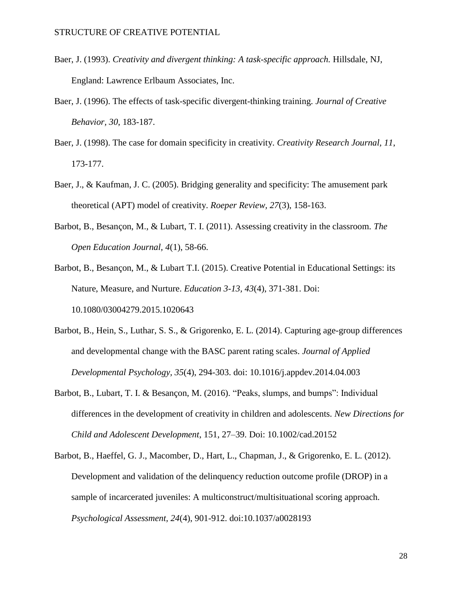- Baer, J. (1993). *Creativity and divergent thinking: A task-specific approach.* Hillsdale, NJ, England: Lawrence Erlbaum Associates, Inc.
- Baer, J. (1996). The effects of task-specific divergent-thinking training. *Journal of Creative Behavior, 30*, 183-187.
- Baer, J. (1998). The case for domain specificity in creativity. *Creativity Research Journal, 11*, 173-177.
- Baer, J., & Kaufman, J. C. (2005). Bridging generality and specificity: The amusement park theoretical (APT) model of creativity. *Roeper Review, 27*(3), 158-163.
- Barbot, B., Besançon, M., & Lubart, T. I. (2011). Assessing creativity in the classroom. *The Open Education Journal, 4*(1), 58-66.
- Barbot, B., Besançon, M., & Lubart T.I. (2015). Creative Potential in Educational Settings: its Nature, Measure, and Nurture. *Education 3-13, 43*(4), 371-381. Doi: 10.1080/03004279.2015.1020643
- Barbot, B., Hein, S., Luthar, S. S., & Grigorenko, E. L. (2014). Capturing age-group differences and developmental change with the BASC parent rating scales. *Journal of Applied Developmental Psychology, 35*(4), 294-303. doi: 10.1016/j.appdev.2014.04.003
- Barbot, B., Lubart, T. I. & Besançon, M. (2016). "Peaks, slumps, and bumps": Individual differences in the development of creativity in children and adolescents. *New Directions for Child and Adolescent Development*, 151, 27–39. Doi: 10.1002/cad.20152
- Barbot, B., Haeffel, G. J., Macomber, D., Hart, L., Chapman, J., & Grigorenko, E. L. (2012). Development and validation of the delinquency reduction outcome profile (DROP) in a sample of incarcerated juveniles: A multiconstruct/multisituational scoring approach. *Psychological Assessment, 24*(4), 901-912. doi:10.1037/a0028193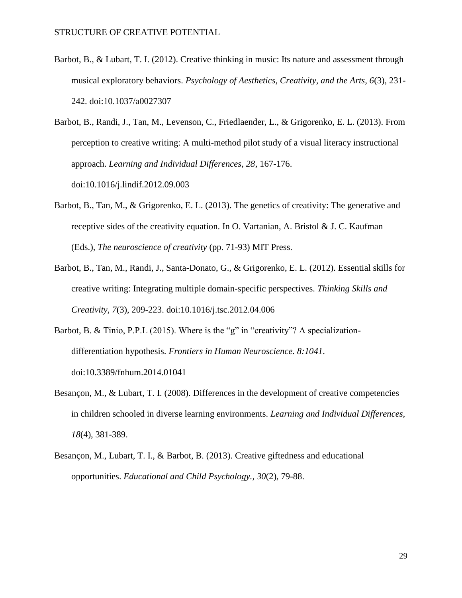- Barbot, B., & Lubart, T. I. (2012). Creative thinking in music: Its nature and assessment through musical exploratory behaviors. *Psychology of Aesthetics, Creativity, and the Arts, 6*(3), 231- 242. doi:10.1037/a0027307
- Barbot, B., Randi, J., Tan, M., Levenson, C., Friedlaender, L., & Grigorenko, E. L. (2013). From perception to creative writing: A multi-method pilot study of a visual literacy instructional approach. *Learning and Individual Differences, 28*, 167-176. doi:10.1016/j.lindif.2012.09.003
- Barbot, B., Tan, M., & Grigorenko, E. L. (2013). The genetics of creativity: The generative and receptive sides of the creativity equation. In O. Vartanian, A. Bristol  $& J. C.$  Kaufman (Eds.), *The neuroscience of creativity* (pp. 71-93) MIT Press.
- Barbot, B., Tan, M., Randi, J., Santa-Donato, G., & Grigorenko, E. L. (2012). Essential skills for creative writing: Integrating multiple domain-specific perspectives. *Thinking Skills and Creativity, 7*(3), 209-223. doi:10.1016/j.tsc.2012.04.006
- Barbot, B. & Tinio, P.P.L (2015). Where is the "g" in "creativity"? A specializationdifferentiation hypothesis. *Frontiers in Human Neuroscience. 8:1041*. doi:10.3389/fnhum.2014.01041
- Besançon, M., & Lubart, T. I. (2008). Differences in the development of creative competencies in children schooled in diverse learning environments. *Learning and Individual Differences, 18*(4), 381-389.
- Besançon, M., Lubart, T. I., & Barbot, B. (2013). Creative giftedness and educational opportunities. *Educational and Child Psychology., 30*(2), 79-88.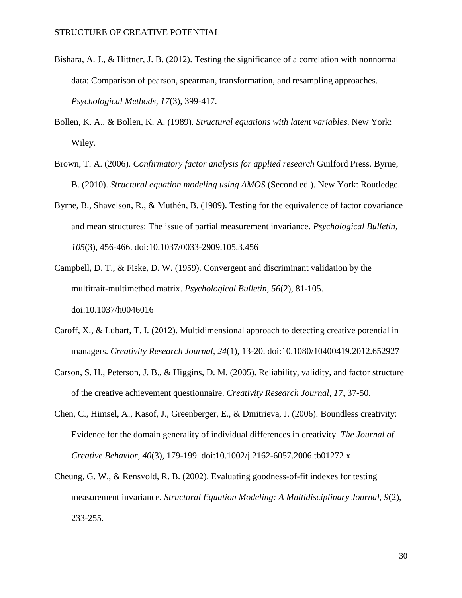- Bishara, A. J., & Hittner, J. B. (2012). Testing the significance of a correlation with nonnormal data: Comparison of pearson, spearman, transformation, and resampling approaches. *Psychological Methods, 17*(3), 399-417.
- Bollen, K. A., & Bollen, K. A. (1989). *Structural equations with latent variables*. New York: Wiley.
- Brown, T. A. (2006). *Confirmatory factor analysis for applied research* Guilford Press. Byrne, B. (2010). *Structural equation modeling using AMOS* (Second ed.). New York: Routledge.
- Byrne, B., Shavelson, R., & Muthén, B. (1989). Testing for the equivalence of factor covariance and mean structures: The issue of partial measurement invariance. *Psychological Bulletin, 105*(3), 456-466. doi:10.1037/0033-2909.105.3.456
- Campbell, D. T., & Fiske, D. W. (1959). Convergent and discriminant validation by the multitrait-multimethod matrix. *Psychological Bulletin, 56*(2), 81-105. doi:10.1037/h0046016
- Caroff, X., & Lubart, T. I. (2012). Multidimensional approach to detecting creative potential in managers. *Creativity Research Journal, 24*(1), 13-20. doi:10.1080/10400419.2012.652927
- Carson, S. H., Peterson, J. B., & Higgins, D. M. (2005). Reliability, validity, and factor structure of the creative achievement questionnaire. *Creativity Research Journal, 17*, 37-50.
- Chen, C., Himsel, A., Kasof, J., Greenberger, E., & Dmitrieva, J. (2006). Boundless creativity: Evidence for the domain generality of individual differences in creativity. *The Journal of Creative Behavior, 40*(3), 179-199. doi:10.1002/j.2162-6057.2006.tb01272.x
- Cheung, G. W., & Rensvold, R. B. (2002). Evaluating goodness-of-fit indexes for testing measurement invariance. *Structural Equation Modeling: A Multidisciplinary Journal, 9*(2), 233-255.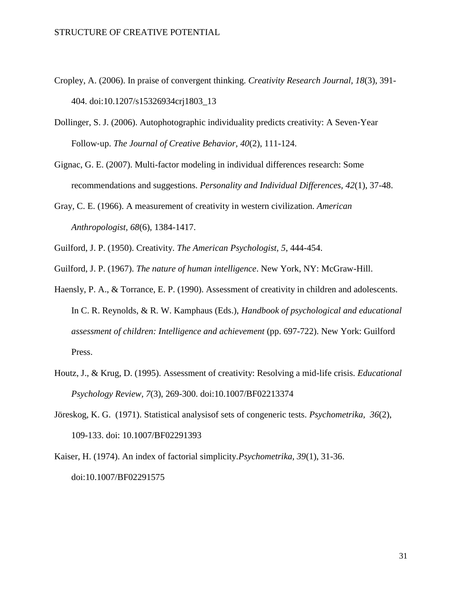- Cropley, A. (2006). In praise of convergent thinking. *Creativity Research Journal, 18*(3), 391- 404. doi:10.1207/s15326934crj1803\_13
- Dollinger, S. J. (2006). Autophotographic individuality predicts creativity: A Seven‐Year Follow‐up. *The Journal of Creative Behavior, 40*(2), 111-124.
- Gignac, G. E. (2007). Multi-factor modeling in individual differences research: Some recommendations and suggestions. *Personality and Individual Differences, 42*(1), 37-48.
- Gray, C. E. (1966). A measurement of creativity in western civilization. *American Anthropologist, 68*(6), 1384-1417.
- Guilford, J. P. (1950). Creativity. *The American Psychologist, 5*, 444-454.
- Guilford, J. P. (1967). *The nature of human intelligence*. New York, NY: McGraw-Hill.
- Haensly, P. A., & Torrance, E. P. (1990). Assessment of creativity in children and adolescents. In C. R. Reynolds, & R. W. Kamphaus (Eds.), *Handbook of psychological and educational assessment of children: Intelligence and achievement* (pp. 697-722). New York: Guilford Press.
- Houtz, J., & Krug, D. (1995). Assessment of creativity: Resolving a mid-life crisis. *Educational Psychology Review, 7*(3), 269-300. doi:10.1007/BF02213374
- Jöreskog, K. G. (1971). Statistical analysisof sets of congeneric tests. *Psychometrika, 36*(2), 109-133. doi: 10.1007/BF02291393
- Kaiser, H. (1974). An index of factorial simplicity.*Psychometrika, 39*(1), 31-36. doi:10.1007/BF02291575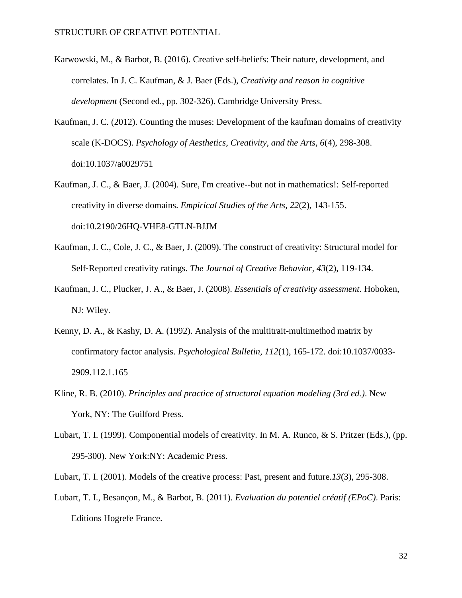- Karwowski, M., & Barbot, B. (2016). Creative self-beliefs: Their nature, development, and correlates. In J. C. Kaufman, & J. Baer (Eds.), *Creativity and reason in cognitive development* (Second ed., pp. 302-326). Cambridge University Press.
- Kaufman, J. C. (2012). Counting the muses: Development of the kaufman domains of creativity scale (K-DOCS). *Psychology of Aesthetics, Creativity, and the Arts, 6*(4), 298-308. doi:10.1037/a0029751
- Kaufman, J. C., & Baer, J. (2004). Sure, I'm creative--but not in mathematics!: Self-reported creativity in diverse domains. *Empirical Studies of the Arts, 22*(2), 143-155. doi:10.2190/26HQ-VHE8-GTLN-BJJM
- Kaufman, J. C., Cole, J. C., & Baer, J. (2009). The construct of creativity: Structural model for Self‐Reported creativity ratings. *The Journal of Creative Behavior, 43*(2), 119-134.
- Kaufman, J. C., Plucker, J. A., & Baer, J. (2008). *Essentials of creativity assessment*. Hoboken, NJ: Wiley.
- Kenny, D. A., & Kashy, D. A. (1992). Analysis of the multitrait-multimethod matrix by confirmatory factor analysis. *Psychological Bulletin, 112*(1), 165-172. doi:10.1037/0033- 2909.112.1.165
- Kline, R. B. (2010). *Principles and practice of structural equation modeling (3rd ed.)*. New York, NY: The Guilford Press.
- Lubart, T. I. (1999). Componential models of creativity. In M. A. Runco, & S. Pritzer (Eds.), (pp. 295-300). New York:NY: Academic Press.
- Lubart, T. I. (2001). Models of the creative process: Past, present and future.*13*(3), 295-308.
- Lubart, T. I., Besançon, M., & Barbot, B. (2011). *Evaluation du potentiel créatif (EPoC)*. Paris: Editions Hogrefe France.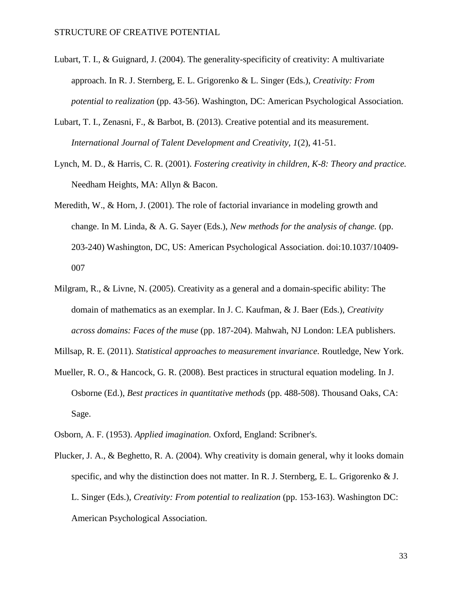- Lubart, T. I., & Guignard, J. (2004). The generality-specificity of creativity: A multivariate approach. In R. J. Sternberg, E. L. Grigorenko & L. Singer (Eds.), *Creativity: From potential to realization* (pp. 43-56). Washington, DC: American Psychological Association.
- Lubart, T. I., Zenasni, F., & Barbot, B. (2013). Creative potential and its measurement. *International Journal of Talent Development and Creativity, 1*(2), 41-51.
- Lynch, M. D., & Harris, C. R. (2001). *Fostering creativity in children, K-8: Theory and practice.* Needham Heights, MA: Allyn & Bacon.
- Meredith, W., & Horn, J. (2001). The role of factorial invariance in modeling growth and change. In M. Linda, & A. G. Sayer (Eds.), *New methods for the analysis of change.* (pp. 203-240) Washington, DC, US: American Psychological Association. doi:10.1037/10409- 007
- Milgram, R., & Livne, N. (2005). Creativity as a general and a domain-specific ability: The domain of mathematics as an exemplar. In J. C. Kaufman, & J. Baer (Eds.), *Creativity across domains: Faces of the muse* (pp. 187-204). Mahwah, NJ London: LEA publishers.

Millsap, R. E. (2011). *Statistical approaches to measurement invariance.* Routledge, New York.

- Mueller, R. O., & Hancock, G. R. (2008). Best practices in structural equation modeling. In J. Osborne (Ed.), *Best practices in quantitative methods* (pp. 488-508). Thousand Oaks, CA: Sage.
- Osborn, A. F. (1953). *Applied imagination.* Oxford, England: Scribner's.
- Plucker, J. A., & Beghetto, R. A. (2004). Why creativity is domain general, why it looks domain specific, and why the distinction does not matter. In R. J. Sternberg, E. L. Grigorenko & J. L. Singer (Eds.), *Creativity: From potential to realization* (pp. 153-163). Washington DC: American Psychological Association.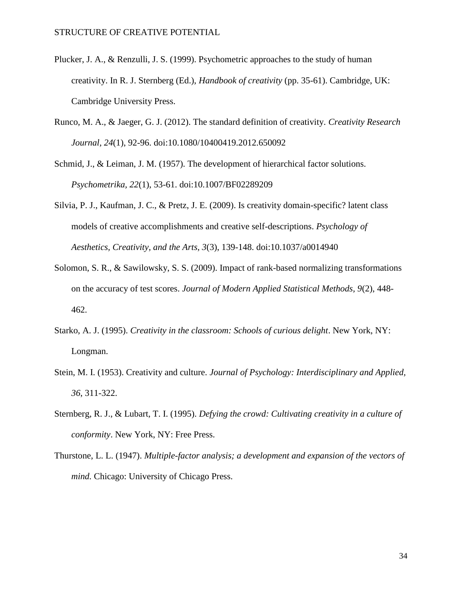- Plucker, J. A., & Renzulli, J. S. (1999). Psychometric approaches to the study of human creativity. In R. J. Sternberg (Ed.), *Handbook of creativity* (pp. 35-61). Cambridge, UK: Cambridge University Press.
- Runco, M. A., & Jaeger, G. J. (2012). The standard definition of creativity. *Creativity Research Journal, 24*(1), 92-96. doi:10.1080/10400419.2012.650092

Schmid, J., & Leiman, J. M. (1957). The development of hierarchical factor solutions. *Psychometrika, 22*(1), 53-61. doi:10.1007/BF02289209

- Silvia, P. J., Kaufman, J. C., & Pretz, J. E. (2009). Is creativity domain-specific? latent class models of creative accomplishments and creative self-descriptions. *Psychology of Aesthetics, Creativity, and the Arts, 3*(3), 139-148. doi:10.1037/a0014940
- Solomon, S. R., & Sawilowsky, S. S. (2009). Impact of rank-based normalizing transformations on the accuracy of test scores. *Journal of Modern Applied Statistical Methods, 9*(2), 448- 462.
- Starko, A. J. (1995). *Creativity in the classroom: Schools of curious delight*. New York, NY: Longman.
- Stein, M. I. (1953). Creativity and culture. *Journal of Psychology: Interdisciplinary and Applied, 36*, 311-322.
- Sternberg, R. J., & Lubart, T. I. (1995). *Defying the crowd: Cultivating creativity in a culture of conformity*. New York, NY: Free Press.
- Thurstone, L. L. (1947). *Multiple-factor analysis; a development and expansion of the vectors of mind.* Chicago: University of Chicago Press.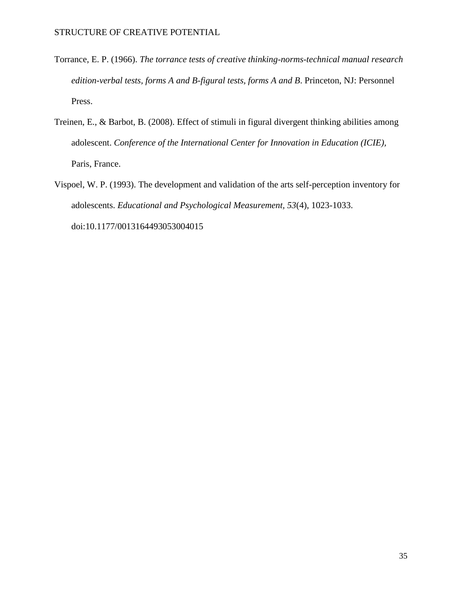- Torrance, E. P. (1966). *The torrance tests of creative thinking-norms-technical manual research edition-verbal tests, forms A and B-figural tests, forms A and B*. Princeton, NJ: Personnel Press.
- Treinen, E., & Barbot, B. (2008). Effect of stimuli in figural divergent thinking abilities among adolescent. *Conference of the International Center for Innovation in Education (ICIE),*  Paris, France.
- Vispoel, W. P. (1993). The development and validation of the arts self-perception inventory for adolescents. *Educational and Psychological Measurement, 53*(4), 1023-1033. doi:10.1177/0013164493053004015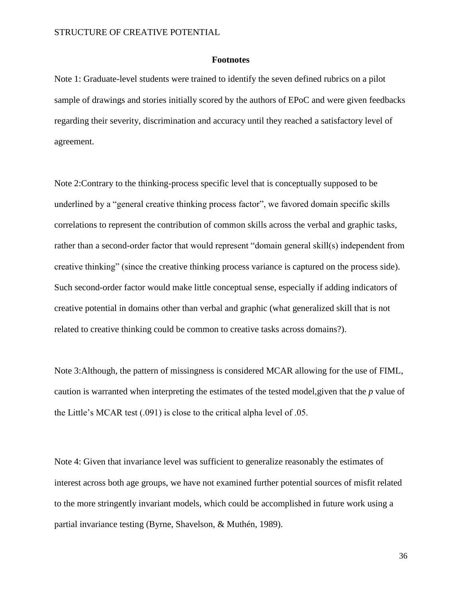#### **Footnotes**

Note 1: Graduate-level students were trained to identify the seven defined rubrics on a pilot sample of drawings and stories initially scored by the authors of EPoC and were given feedbacks regarding their severity, discrimination and accuracy until they reached a satisfactory level of agreement.

Note 2:Contrary to the thinking-process specific level that is conceptually supposed to be underlined by a "general creative thinking process factor", we favored domain specific skills correlations to represent the contribution of common skills across the verbal and graphic tasks, rather than a second-order factor that would represent "domain general skill(s) independent from creative thinking" (since the creative thinking process variance is captured on the process side). Such second-order factor would make little conceptual sense, especially if adding indicators of creative potential in domains other than verbal and graphic (what generalized skill that is not related to creative thinking could be common to creative tasks across domains?).

Note 3:Although, the pattern of missingness is considered MCAR allowing for the use of FIML, caution is warranted when interpreting the estimates of the tested model,given that the *p* value of the Little's MCAR test (.091) is close to the critical alpha level of .05.

Note 4: Given that invariance level was sufficient to generalize reasonably the estimates of interest across both age groups, we have not examined further potential sources of misfit related to the more stringently invariant models, which could be accomplished in future work using a partial invariance testing (Byrne, Shavelson, & Muthén, 1989).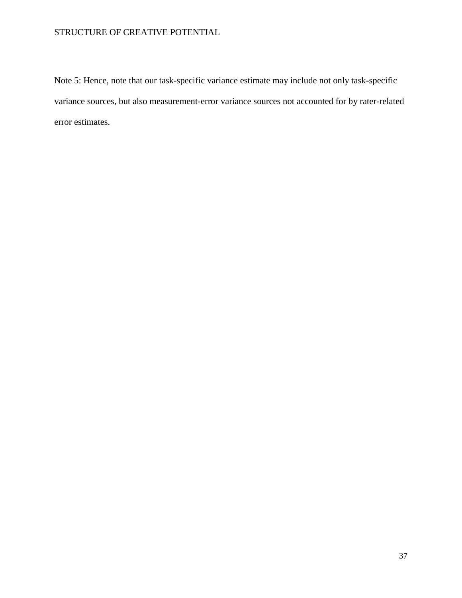Note 5: Hence, note that our task-specific variance estimate may include not only task-specific variance sources, but also measurement-error variance sources not accounted for by rater-related error estimates.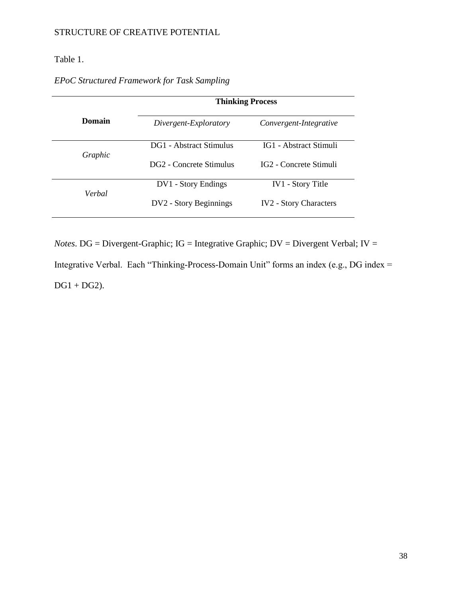### Table 1.

## *EPoC Structured Framework for Task Sampling*

|         | <b>Thinking Process</b> |                                    |  |  |  |
|---------|-------------------------|------------------------------------|--|--|--|
| Domain  | Divergent-Exploratory   | Convergent-Integrative             |  |  |  |
| Graphic | DG1 - Abstract Stimulus | IG1 - Abstract Stimuli             |  |  |  |
|         | DG2 - Concrete Stimulus | IG <sub>2</sub> - Concrete Stimuli |  |  |  |
|         | DV1 - Story Endings     | <b>IV1</b> - Story Title           |  |  |  |
| Verbal  | DV2 - Story Beginnings  | <b>IV2</b> - Story Characters      |  |  |  |

*Notes*. DG = Divergent-Graphic; IG = Integrative Graphic; DV = Divergent Verbal; IV = Integrative Verbal. Each "Thinking-Process-Domain Unit" forms an index (e.g., DG index =  $DG1 + DG2$ ).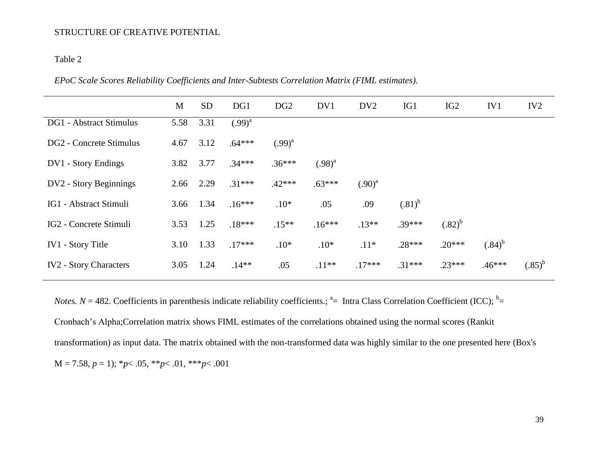### Table 2

|  |  | EPoC Scale Scores Reliability Coefficients and Inter-Subtests Correlation Matrix (FIML estimates). |
|--|--|----------------------------------------------------------------------------------------------------|
|  |  |                                                                                                    |

|                                | M    | <b>SD</b> | DG1         | DG <sub>2</sub> | DV1         | DV <sub>2</sub> | IG1         | IG <sub>2</sub> | IV1         | IV <sub>2</sub> |
|--------------------------------|------|-----------|-------------|-----------------|-------------|-----------------|-------------|-----------------|-------------|-----------------|
| <b>DG1</b> - Abstract Stimulus | 5.58 | 3.31      | $(.99)^{a}$ |                 |             |                 |             |                 |             |                 |
| DG2 - Concrete Stimulus        | 4.67 | 3.12      | $.64***$    | $(.99)^{a}$     |             |                 |             |                 |             |                 |
| DV1 - Story Endings            | 3.82 | 3.77      | $.34***$    | $.36***$        | $(.98)^{a}$ |                 |             |                 |             |                 |
| DV2 - Story Beginnings         | 2.66 | 2.29      | $.31***$    | $.42***$        | $.63***$    | $(.90)^{a}$     |             |                 |             |                 |
| IG1 - Abstract Stimuli         | 3.66 | 1.34      | $.16***$    | $.10*$          | .05         | .09             | $(.81)^{b}$ |                 |             |                 |
| IG2 - Concrete Stimuli         | 3.53 | 1.25      | $.18***$    | $.15**$         | $.16***$    | $.13**$         | $.39***$    | $(.82)^{b}$     |             |                 |
| IV1 - Story Title              | 3.10 | 1.33      | $.17***$    | $.10*$          | $.10*$      | $.11*$          | $.28***$    | $.20***$        | $(.84)^{b}$ |                 |
| <b>IV2</b> - Story Characters  | 3.05 | 1.24      | $.14**$     | .05             | $.11**$     | $.17***$        | $.31***$    | $.23***$        | $.46***$    | $(.85)^{b}$     |

*Notes. N* = 482. Coefficients in parenthesis indicate reliability coefficients.;  $a =$  Intra Class Correlation Coefficient (ICC);  $b =$ Cronbach's Alpha;Correlation matrix shows FIML estimates of the correlations obtained using the normal scores (Rankit transformation) as input data. The matrix obtained with the non-transformed data was highly similar to the one presented here (Box's  $M = 7.58, p = 1$ ; \* $p < .05$ , \*\* $p < .01$ , \*\*\* $p < .001$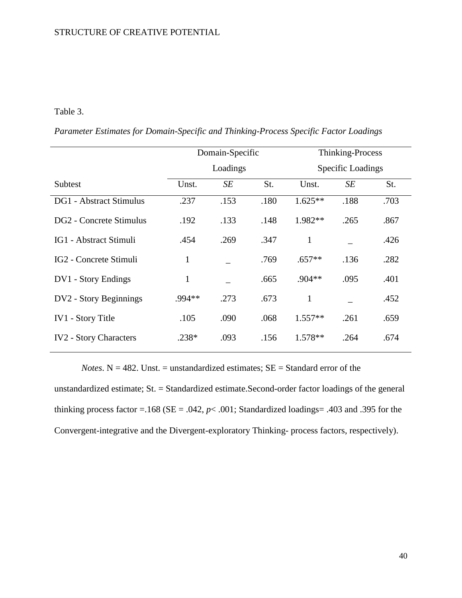#### Table 3.

*Parameter Estimates for Domain-Specific and Thinking-Process Specific Factor Loadings*

|                                |              | Domain-Specific |      | Thinking-Process         |      |      |  |
|--------------------------------|--------------|-----------------|------|--------------------------|------|------|--|
|                                |              | Loadings        |      | <b>Specific Loadings</b> |      |      |  |
| Subtest                        | Unst.        | SE              | St.  | Unst.                    | SE   | St.  |  |
| <b>DG1</b> - Abstract Stimulus | .237         | .153            | .180 | $1.625**$                | .188 | .703 |  |
| DG2 - Concrete Stimulus        | .192         | .133            | .148 | $1.982**$                | .265 | .867 |  |
| IG1 - Abstract Stimuli         | .454         | .269            | .347 | $\mathbf{1}$             |      | .426 |  |
| IG2 - Concrete Stimuli         | $\mathbf{1}$ |                 | .769 | $.657**$                 | .136 | .282 |  |
| DV1 - Story Endings            | 1            |                 | .665 | $.904**$                 | .095 | .401 |  |
| DV2 - Story Beginnings         | .994**       | .273            | .673 | $\mathbf{1}$             |      | .452 |  |
| <b>IV1</b> - Story Title       | .105         | .090            | .068 | $1.557**$                | .261 | .659 |  |
| <b>IV2</b> - Story Characters  | $.238*$      | .093            | .156 | 1.578**                  | .264 | .674 |  |

*Notes*.  $N = 482$ . Unst. = unstandardized estimates;  $SE = Standard$  error of the

unstandardized estimate; St. = Standardized estimate.Second-order factor loadings of the general thinking process factor =  $.168$  (SE =  $.042$ ,  $p$  <  $.001$ ; Standardized loadings=  $.403$  and  $.395$  for the Convergent-integrative and the Divergent-exploratory Thinking- process factors, respectively).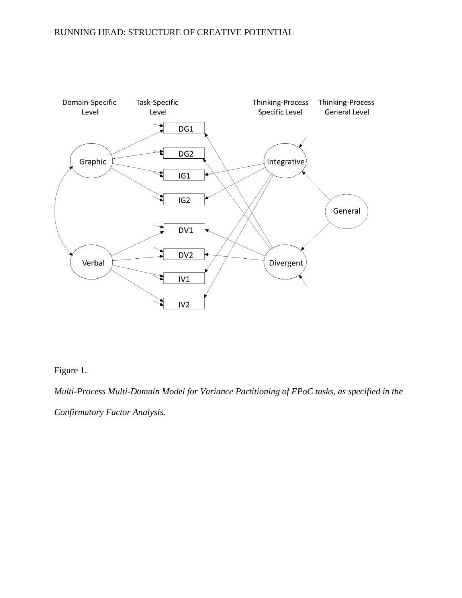## RUNNING HEAD: STRUCTURE OF CREATIVE POTENTIAL



Figure 1.

*Multi-Process Multi-Domain Model for Variance Partitioning of EPoC tasks, as specified in the Confirmatory Factor Analysis.*